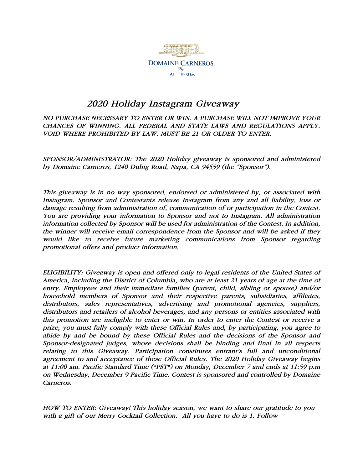

## *2020 Holiday Instagram Giveaway*

*NO PURCHASE NECESSARY TO ENTER OR WIN. A PURCHASE WILL NOT IMPROVE YOUR CHANCES OF WINNING. ALL FEDERAL AND STATE LAWS AND REGULATIONS APPLY. VOID WHERE PROHIBITED BY LAW. MUST BE 21 OR OLDER TO ENTER.*

*SPONSOR/ADMINISTRATOR: The 2020 Holiday giveaway is sponsored and administered by Domaine Carneros, 1240 Duhig Road, Napa, CA 94559 (the "Sponsor").* 

*This giveaway is in no way sponsored, endorsed or administered by, or associated with Instagram. Sponsor and Contestants release Instagram from any and all liability, loss or damage resulting from administration of, communication of or participation in the Contest. You are providing your information to Sponsor and not to Instagram. All administration information collected by Sponsor will be used for administration of the Contest. In addition, the winner will receive email correspondence from the Sponsor and will be asked if they would like to receive future marketing communications from Sponsor regarding promotional offers and product information.* 

*ELIGIBILITY: Giveaway is open and offered only to legal residents of the United States of America, including the District of Columbia, who are at least 21 years of age at the time of entry. Employees and their immediate families (parent, child, sibling or spouse) and/or household members of Sponsor and their respective parents, subsidiaries, affiliates, distributors, sales representatives, advertising and promotional agencies, suppliers, distributors and retailers of alcohol beverages, and any persons or entities associated with this promotion are ineligible to enter or win. In order to enter the Contest or receive a prize, you must fully comply with these Official Rules and, by participating, you agree to abide by and be bound by these Official Rules and the decisions of the Sponsor and Sponsor-designated judges, whose decisions shall be binding and final in all respects*  relating to this Giveaway. Participation constitutes entrant's full and unconditional *agreement to and acceptance of these Official Rules. The 2020 Holiday Giveaway begins at 11:00 am. Pacific Standard Time ("PST") on Monday, December 7 and ends at 11:59 p.m on Wednesday, December 9 Pacific Time. Contest is sponsored and controlled by Domaine Carneros.* 

*HOW TO ENTER: Giveaway! This holiday season, we want to share our gratitude to you with a gift of our Merry Cocktail Collection. All you have to do is 1. Follow*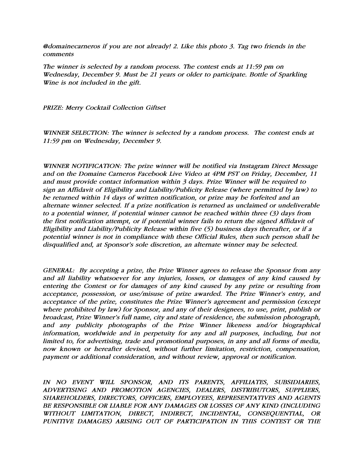*@domainecarneros if you are not already! 2. Like this photo 3. Tag two friends in the comments*

*The winner is selected by a random process. The contest ends at 11:59 pm on Wednesday, December 9. Must be 21 years or older to participate. Bottle of Sparkling Wine is not included in the gift.* 

*PRIZE: Merry Cocktail Collection Giftset*

*WINNER SELECTION: The winner is selected by a random process. The contest ends at 11:59 pm on Wednesday, December 9.*

*WINNER NOTIFICATION: The prize winner will be notified via Instagram Direct Message and on the Domaine Carneros Facebook Live Video at 4PM PST on Friday, December, 11 and must provide contact information within 3 days. Prize Winner will be required to sign an Affidavit of Eligibility and Liability/Publicity Release (where permitted by law) to be returned within 14 days of written notification, or prize may be forfeited and an alternate winner selected. If a prize notification is returned as unclaimed or undeliverable to a potential winner, if potential winner cannot be reached within three (3) days from the first notification attempt, or if potential winner fails to return the signed Affidavit of Eligibility and Liability/Publicity Release within five (5) business days thereafter, or if a potential winner is not in compliance with these Official Rules, then such person shall be disqualified and, at Sponsor's sole discretion, an alternate winner may be selected.*

*GENERAL: By accepting a prize, the Prize Winner agrees to release the Sponsor from any and all liability whatsoever for any injuries, losses, or damages of any kind caused by entering the Contest or for damages of any kind caused by any prize or resulting from acceptance, possession, or use/misuse of prize awarded. The Prize Winner's entry, and acceptance of the prize, constitutes the Prize Winner's agreement and permission (except where prohibited by law) for Sponsor, and any of their designees, to use, print, publish or broadcast, Prize Winner's full name, city and state of residence, the submission photograph, and any publicity photographs of the Prize Winner likeness and/or biographical*  information, worldwide and in perpetuity for any and all purposes, including, but not *limited to, for advertising, trade and promotional purposes, in any and all forms of media, now known or hereafter devised, without further limitation, restriction, compensation, payment or additional consideration, and without review, approval or notification.* 

*IN NO EVENT WILL SPONSOR, AND ITS PARENTS, AFFILIATES, SUBSIDIARIES, ADVERTISING AND PROMOTION AGENCIES, DEALERS, DISTRIBUTORS, SUPPLIERS, SHAREHOLDERS, DIRECTORS, OFFICERS, EMPLOYEES, REPRESENTATIVES AND AGENTS BE RESPONSIBLE OR LIABLE FOR ANY DAMAGES OR LOSSES OF ANY KIND (INCLUDING WITHOUT LIMITATION, DIRECT, INDIRECT, INCIDENTAL, CONSEQUENTIAL, OR PUNITIVE DAMAGES) ARISING OUT OF PARTICIPATION IN THIS CONTEST OR THE*